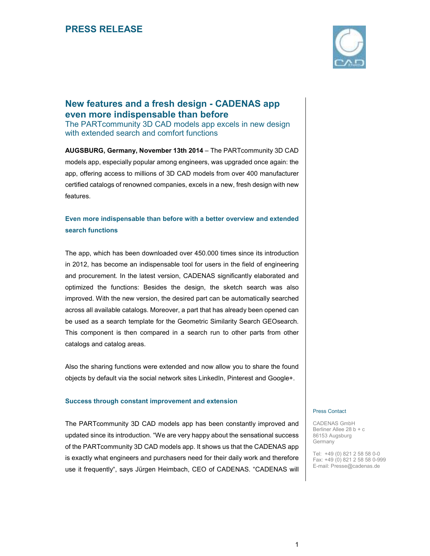

## **New features and a fresh design - CADENAS app even more indispensable than before**

The PARTcommunity 3D CAD models app excels in new design with extended search and comfort functions

**AUGSBURG, Germany, November 13th 2014** – The PARTcommunity 3D CAD models app, especially popular among engineers, was upgraded once again: the app, offering access to millions of 3D CAD models from over 400 manufacturer certified catalogs of renowned companies, excels in a new, fresh design with new features.

### **Even more indispensable than before with a better overview and extended search functions**

The app, which has been downloaded over 450.000 times since its introduction in 2012, has become an indispensable tool for users in the field of engineering and procurement. In the latest version, CADENAS significantly elaborated and optimized the functions: Besides the design, the sketch search was also improved. With the new version, the desired part can be automatically searched across all available catalogs. Moreover, a part that has already been opened can be used as a search template for the Geometric Similarity Search GEOsearch. This component is then compared in a search run to other parts from other catalogs and catalog areas.

Also the sharing functions were extended and now allow you to share the found objects by default via the social network sites LinkedIn, Pinterest and Google+.

#### **Success through constant improvement and extension**

The PARTcommunity 3D CAD models app has been constantly improved and updated since its introduction. "We are very happy about the sensational success of the PARTcommunity 3D CAD models app. It shows us that the CADENAS app is exactly what engineers and purchasers need for their daily work and therefore use it frequently", says Jürgen Heimbach, CEO of CADENAS. "CADENAS will

#### Press Contact

CADENAS GmbH Berliner Allee 28 b + c 86153 Augsburg Germany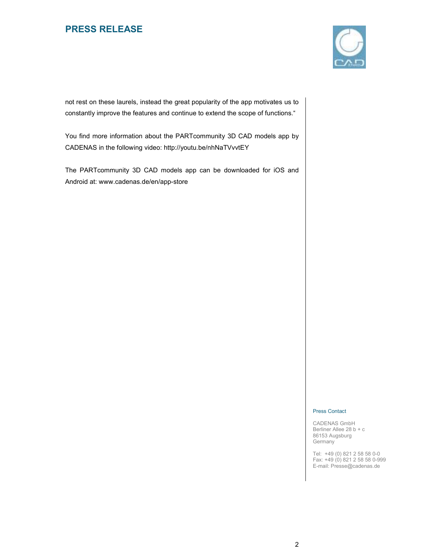# **PRESS RELEASE**



not rest on these laurels, instead the great popularity of the app motivates us to constantly improve the features and continue to extend the scope of functions."

You find more information about the PARTcommunity 3D CAD models app by CADENAS in the following video: http://youtu.be/nhNaTVvvtEY

The PARTcommunity 3D CAD models app can be downloaded for iOS and Android at: www.cadenas.de/en/app-store

#### Press Contact

CADENAS GmbH Berliner Allee 28 b + c 86153 Augsburg Germany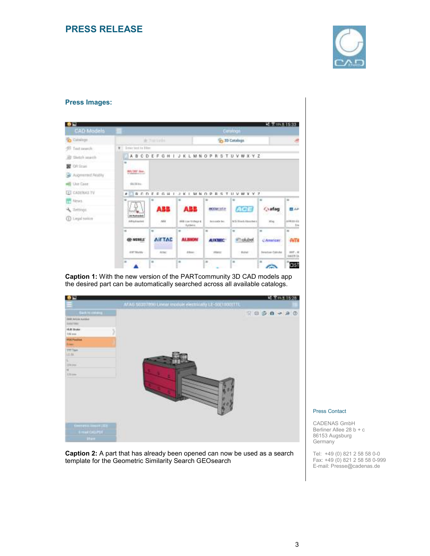# **PRESS RELEASE**



### **Press Images:**

| CAD Models              |                                     |                                                   |                                  | <b>EAST IN ST 1539</b><br>Caratoge |                                                                       |                  |                         |
|-------------------------|-------------------------------------|---------------------------------------------------|----------------------------------|------------------------------------|-----------------------------------------------------------------------|------------------|-------------------------|
| Cuttures                |                                     | it:Turiviti                                       |                                  |                                    | <b>TD Catalogs</b>                                                    |                  |                         |
| Texturando              | <b>Department for Billions</b><br>× |                                                   |                                  |                                    |                                                                       |                  |                         |
| El Stetch search        |                                     | A B C D E F G H I J K L M N O P R S T U V W X Y Z |                                  |                                    |                                                                       |                  |                         |
| <b>OR Store</b><br>w    |                                     |                                                   |                                  |                                    |                                                                       |                  |                         |
| Augmmed Really<br>a.    | 80/30' 0m.                          |                                                   |                                  |                                    |                                                                       |                  |                         |
| <b>Ular Case</b>        | days in-                            |                                                   |                                  |                                    |                                                                       |                  |                         |
| <b>LET CATIFIERS TV</b> |                                     | $A$ RCDEFGHTJKT                                   |                                  |                                    | <b>INSTERNATION CONTRACTOR</b> CONTRACTOR CONTRACTOR<br>MEDPRSTUVWYYZ |                  |                         |
| m<br>Nows:              |                                     | $\equiv$                                          | w                                | u                                  | ÷                                                                     | w                | ×                       |
| <b>A</b> Tellings       |                                     | ABB                                               | ABB                              | <b><i>BEENFILES</i></b>            | ACE                                                                   | <b>Cafag</b>     | 職人的                     |
| (1) Legal runner        | <b>Art Rummaker</b><br>Administrat  | <b>ABK</b>                                        | <b>HELLIN STAGEK</b><br>Systems. | <b>Bollowin Terr</b>               | N.S. Direct About Net 1                                               | E16              | 448111-41<br>2n         |
|                         |                                     |                                                   |                                  | u                                  | $\blacksquare$                                                        | ×                | u                       |
|                         | an a matters<br><b>GID-MERKLE</b>   | <b>AIFTAD</b>                                     | <b>AA MUON</b>                   | <b>UNIVERSITY</b><br>ALS NOTES     | criube                                                                | CArracicles      | AITH                    |
|                         | ANT Markler                         | Atter<br>545                                      | d/Material<br>337.R              | <b>Alless</b><br><b>HTT</b>        | Multat 1<br>26197                                                     | American Dalahka | $MST$ , $M$<br>04/13/24 |
|                         |                                     |                                                   |                                  |                                    |                                                                       |                  |                         |

**Caption 1:** With the new version of the PARTcommunity 3D CAD models app the desired part can be automatically searched across all available catalogs.



**Caption 2:** A part that has already been opened can now be used as a search template for the Geometric Similarity Search GEOsearch

#### Press Contact

CADENAS GmbH Berliner Allee 28 b + c 86153 Augsburg Germany